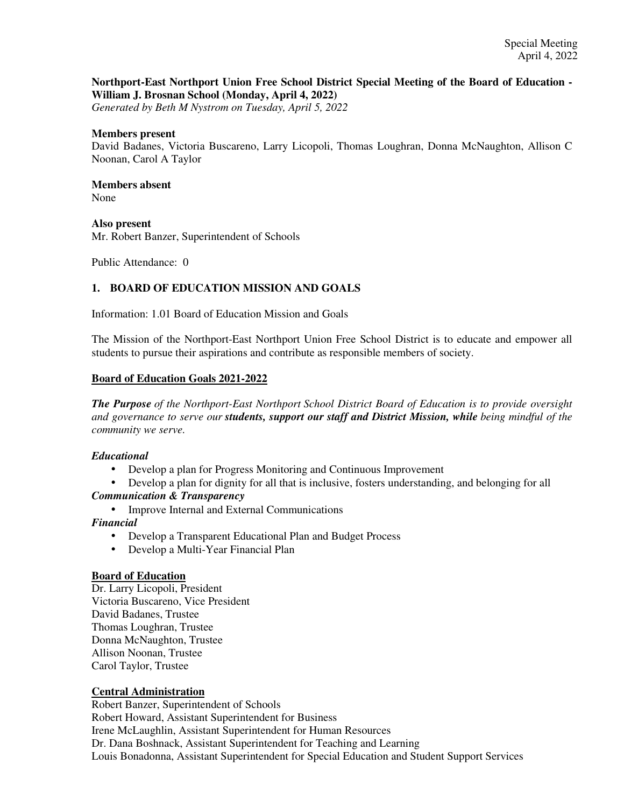# **Northport-East Northport Union Free School District Special Meeting of the Board of Education - William J. Brosnan School (Monday, April 4, 2022)**

*Generated by Beth M Nystrom on Tuesday, April 5, 2022*

## **Members present**

David Badanes, Victoria Buscareno, Larry Licopoli, Thomas Loughran, Donna McNaughton, Allison C Noonan, Carol A Taylor

#### **Members absent**  None

### **Also present**

Mr. Robert Banzer, Superintendent of Schools

Public Attendance: 0

# **1. BOARD OF EDUCATION MISSION AND GOALS**

Information: 1.01 Board of Education Mission and Goals

The Mission of the Northport-East Northport Union Free School District is to educate and empower all students to pursue their aspirations and contribute as responsible members of society.

# **Board of Education Goals 2021-2022**

*The Purpose of the Northport-East Northport School District Board of Education is to provide oversight and governance to serve our students, support our staff and District Mission, while being mindful of the community we serve.*

# *Educational*

- Develop a plan for Progress Monitoring and Continuous Improvement
- Develop a plan for dignity for all that is inclusive, fosters understanding, and belonging for all *Communication & Transparency*
	- Improve Internal and External Communications

# *Financial*

- Develop a Transparent Educational Plan and Budget Process
- Develop a Multi-Year Financial Plan

#### **Board of Education**

Dr. Larry Licopoli, President Victoria Buscareno, Vice President David Badanes, Trustee Thomas Loughran, Trustee Donna McNaughton, Trustee Allison Noonan, Trustee Carol Taylor, Trustee

# **Central Administration**

Robert Banzer, Superintendent of Schools Robert Howard, Assistant Superintendent for Business Irene McLaughlin, Assistant Superintendent for Human Resources Dr. Dana Boshnack, Assistant Superintendent for Teaching and Learning Louis Bonadonna, Assistant Superintendent for Special Education and Student Support Services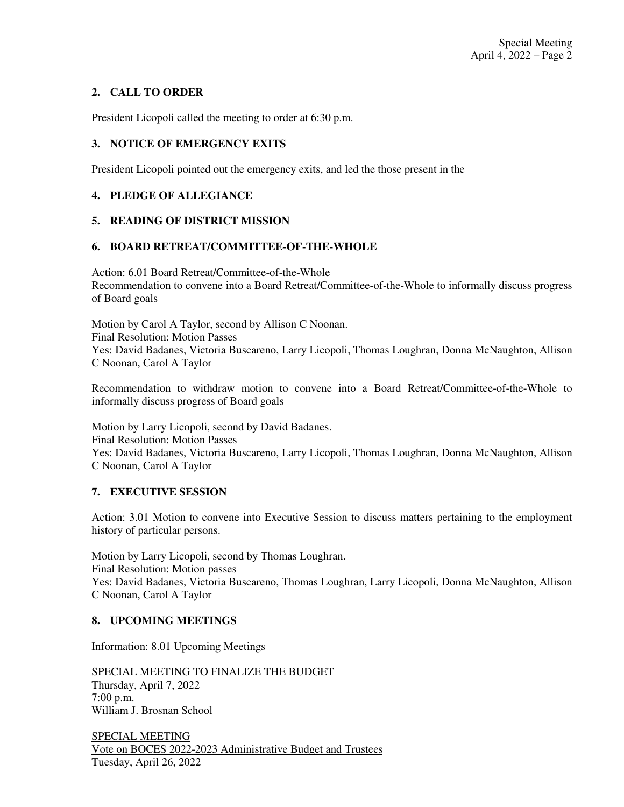# **2. CALL TO ORDER**

President Licopoli called the meeting to order at 6:30 p.m.

# **3. NOTICE OF EMERGENCY EXITS**

President Licopoli pointed out the emergency exits, and led the those present in the

# **4. PLEDGE OF ALLEGIANCE**

# **5. READING OF DISTRICT MISSION**

# **6. BOARD RETREAT/COMMITTEE-OF-THE-WHOLE**

Action: 6.01 Board Retreat/Committee-of-the-Whole Recommendation to convene into a Board Retreat/Committee-of-the-Whole to informally discuss progress of Board goals

Motion by Carol A Taylor, second by Allison C Noonan. Final Resolution: Motion Passes Yes: David Badanes, Victoria Buscareno, Larry Licopoli, Thomas Loughran, Donna McNaughton, Allison C Noonan, Carol A Taylor

Recommendation to withdraw motion to convene into a Board Retreat/Committee-of-the-Whole to informally discuss progress of Board goals

Motion by Larry Licopoli, second by David Badanes. Final Resolution: Motion Passes Yes: David Badanes, Victoria Buscareno, Larry Licopoli, Thomas Loughran, Donna McNaughton, Allison C Noonan, Carol A Taylor

# **7. EXECUTIVE SESSION**

Action: 3.01 Motion to convene into Executive Session to discuss matters pertaining to the employment history of particular persons.

Motion by Larry Licopoli, second by Thomas Loughran. Final Resolution: Motion passes Yes: David Badanes, Victoria Buscareno, Thomas Loughran, Larry Licopoli, Donna McNaughton, Allison C Noonan, Carol A Taylor

# **8. UPCOMING MEETINGS**

Information: 8.01 Upcoming Meetings

SPECIAL MEETING TO FINALIZE THE BUDGET Thursday, April 7, 2022 7:00 p.m. William J. Brosnan School

SPECIAL MEETING Vote on BOCES 2022-2023 Administrative Budget and Trustees Tuesday, April 26, 2022